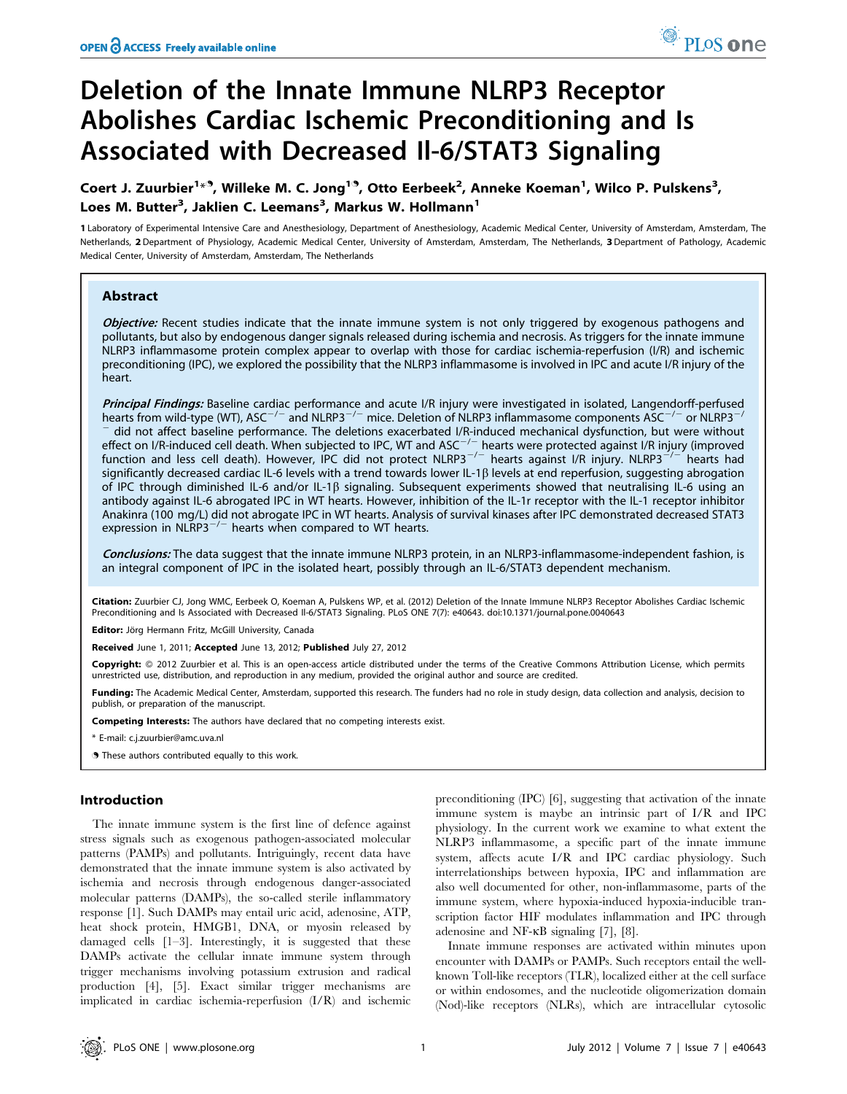# Deletion of the Innate Immune NLRP3 Receptor Abolishes Cardiac Ischemic Preconditioning and Is Associated with Decreased Il-6/STAT3 Signaling

# Coert J. Zuurbier<sup>1\*,9</sup>, Willeke M. C. Jong<sup>19</sup>, Otto Eerbeek<sup>2</sup>, Anneke Koeman<sup>1</sup>, Wilco P. Pulskens<sup>3</sup>, Loes M. Butter<sup>3</sup>, Jaklien C. Leemans<sup>3</sup>, Markus W. Hollmann<sup>1</sup>

1 Laboratory of Experimental Intensive Care and Anesthesiology, Department of Anesthesiology, Academic Medical Center, University of Amsterdam, Amsterdam, The Netherlands, 2 Department of Physiology, Academic Medical Center, University of Amsterdam, Amsterdam, The Netherlands, 3Department of Pathology, Academic Medical Center, University of Amsterdam, Amsterdam, The Netherlands

## Abstract

Objective: Recent studies indicate that the innate immune system is not only triggered by exogenous pathogens and pollutants, but also by endogenous danger signals released during ischemia and necrosis. As triggers for the innate immune NLRP3 inflammasome protein complex appear to overlap with those for cardiac ischemia-reperfusion (I/R) and ischemic preconditioning (IPC), we explored the possibility that the NLRP3 inflammasome is involved in IPC and acute I/R injury of the heart.

Principal Findings: Baseline cardiac performance and acute I/R injury were investigated in isolated, Langendorff-perfused hearts from wild-type (WT), ASC<sup>-/-</sup> and NLRP3<sup>-/-</sup> mice. Deletion of NLRP3 inflammasome components ASC<sup>-/-</sup> or NLRP3<sup>-</sup> <sup>2</sup> did not affect baseline performance. The deletions exacerbated I/R-induced mechanical dysfunction, but were without effect on I/R-induced cell death. When subjected to IPC, WT and ASC<sup>-/-</sup> hearts were protected against I/R injury (improved function and less cell death). However, IPC did not protect NLRP3<sup>-/-</sup> hearts against I/R injury. NLRP3<sup>-/-</sup> hearts had significantly decreased cardiac IL-6 levels with a trend towards lower IL-1ß levels at end reperfusion, suggesting abrogation of IPC through diminished IL-6 and/or IL-1 $\beta$  signaling. Subsequent experiments showed that neutralising IL-6 using an antibody against IL-6 abrogated IPC in WT hearts. However, inhibition of the IL-1r receptor with the IL-1 receptor inhibitor Anakinra (100 mg/L) did not abrogate IPC in WT hearts. Analysis of survival kinases after IPC demonstrated decreased STAT3 expression in NLRP3<sup> $-/-$ </sup> hearts when compared to WT hearts.

Conclusions: The data suggest that the innate immune NLRP3 protein, in an NLRP3-inflammasome-independent fashion, is an integral component of IPC in the isolated heart, possibly through an IL-6/STAT3 dependent mechanism.

Citation: Zuurbier CJ, Jong WMC, Eerbeek O, Koeman A, Pulskens WP, et al. (2012) Deletion of the Innate Immune NLRP3 Receptor Abolishes Cardiac Ischemic Preconditioning and Is Associated with Decreased Il-6/STAT3 Signaling. PLoS ONE 7(7): e40643. doi:10.1371/journal.pone.0040643

Editor: Jörg Hermann Fritz, McGill University, Canada

Received June 1, 2011; Accepted June 13, 2012; Published July 27, 2012

**Copyright:** © 2012 Zuurbier et al. This is an open-access article distributed under the terms of the Creative Commons Attribution License, which permits unrestricted use, distribution, and reproduction in any medium, provided the original author and source are credited.

Funding: The Academic Medical Center, Amsterdam, supported this research. The funders had no role in study design, data collection and analysis, decision to publish, or preparation of the manuscript.

Competing Interests: The authors have declared that no competing interests exist.

\* E-mail: c.j.zuurbier@amc.uva.nl

**.** These authors contributed equally to this work.

## Introduction

The innate immune system is the first line of defence against stress signals such as exogenous pathogen-associated molecular patterns (PAMPs) and pollutants. Intriguingly, recent data have demonstrated that the innate immune system is also activated by ischemia and necrosis through endogenous danger-associated molecular patterns (DAMPs), the so-called sterile inflammatory response [1]. Such DAMPs may entail uric acid, adenosine, ATP, heat shock protein, HMGB1, DNA, or myosin released by damaged cells [1–3]. Interestingly, it is suggested that these DAMPs activate the cellular innate immune system through trigger mechanisms involving potassium extrusion and radical production [4], [5]. Exact similar trigger mechanisms are implicated in cardiac ischemia-reperfusion (I/R) and ischemic

preconditioning (IPC) [6], suggesting that activation of the innate immune system is maybe an intrinsic part of I/R and IPC physiology. In the current work we examine to what extent the NLRP3 inflammasome, a specific part of the innate immune system, affects acute I/R and IPC cardiac physiology. Such interrelationships between hypoxia, IPC and inflammation are also well documented for other, non-inflammasome, parts of the immune system, where hypoxia-induced hypoxia-inducible transcription factor HIF modulates inflammation and IPC through adenosine and NF-kB signaling [7], [8].

Innate immune responses are activated within minutes upon encounter with DAMPs or PAMPs. Such receptors entail the wellknown Toll-like receptors (TLR), localized either at the cell surface or within endosomes, and the nucleotide oligomerization domain (Nod)-like receptors (NLRs), which are intracellular cytosolic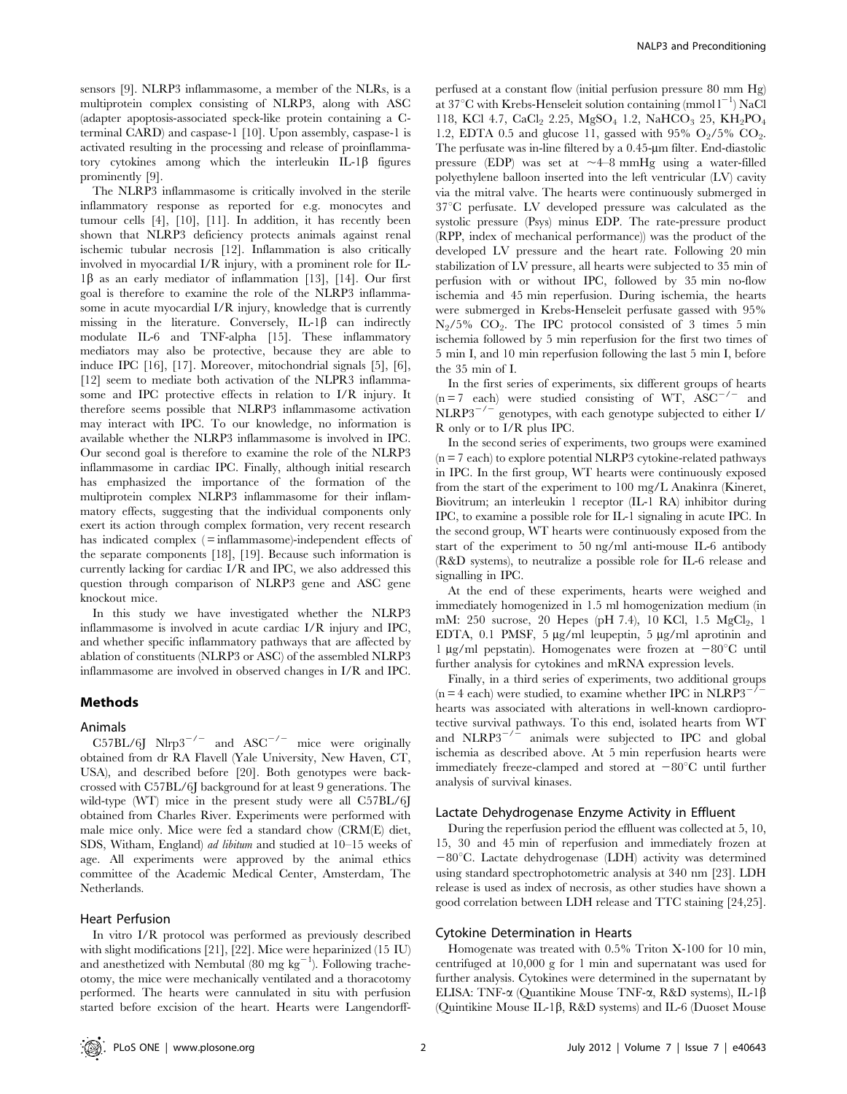sensors [9]. NLRP3 inflammasome, a member of the NLRs, is a multiprotein complex consisting of NLRP3, along with ASC (adapter apoptosis-associated speck-like protein containing a Cterminal CARD) and caspase-1 [10]. Upon assembly, caspase-1 is activated resulting in the processing and release of proinflammatory cytokines among which the interleukin  $IL-1\beta$  figures prominently [9].

The NLRP3 inflammasome is critically involved in the sterile inflammatory response as reported for e.g. monocytes and tumour cells [4], [10], [11]. In addition, it has recently been shown that NLRP3 deficiency protects animals against renal ischemic tubular necrosis [12]. Inflammation is also critically involved in myocardial I/R injury, with a prominent role for IL- $1\beta$  as an early mediator of inflammation [13], [14]. Our first goal is therefore to examine the role of the NLRP3 inflammasome in acute myocardial I/R injury, knowledge that is currently missing in the literature. Conversely, IL-1 $\beta$  can indirectly modulate IL-6 and TNF-alpha [15]. These inflammatory mediators may also be protective, because they are able to induce IPC [16], [17]. Moreover, mitochondrial signals [5], [6], [12] seem to mediate both activation of the NLPR3 inflammasome and IPC protective effects in relation to I/R injury. It therefore seems possible that NLRP3 inflammasome activation may interact with IPC. To our knowledge, no information is available whether the NLRP3 inflammasome is involved in IPC. Our second goal is therefore to examine the role of the NLRP3 inflammasome in cardiac IPC. Finally, although initial research has emphasized the importance of the formation of the multiprotein complex NLRP3 inflammasome for their inflammatory effects, suggesting that the individual components only exert its action through complex formation, very recent research has indicated complex (= inflammasome)-independent effects of the separate components [18], [19]. Because such information is currently lacking for cardiac I/R and IPC, we also addressed this question through comparison of NLRP3 gene and ASC gene knockout mice.

In this study we have investigated whether the NLRP3 inflammasome is involved in acute cardiac I/R injury and IPC, and whether specific inflammatory pathways that are affected by ablation of constituents (NLRP3 or ASC) of the assembled NLRP3 inflammasome are involved in observed changes in I/R and IPC.

#### Methods

#### Animals

 $C57BL/6J$  Nlrp $3^{-/-}$  and ASC<sup>-/-</sup> mice were originally obtained from dr RA Flavell (Yale University, New Haven, CT, USA), and described before [20]. Both genotypes were backcrossed with C57BL/6J background for at least 9 generations. The wild-type (WT) mice in the present study were all C57BL/6J obtained from Charles River. Experiments were performed with male mice only. Mice were fed a standard chow (CRM(E) diet, SDS, Witham, England) ad libitum and studied at 10–15 weeks of age. All experiments were approved by the animal ethics committee of the Academic Medical Center, Amsterdam, The Netherlands.

# Heart Perfusion

In vitro I/R protocol was performed as previously described with slight modifications [21], [22]. Mice were heparinized (15 IU) and anesthetized with Nembutal  $(80 \text{ mg kg}^{-1})$ . Following tracheotomy, the mice were mechanically ventilated and a thoracotomy performed. The hearts were cannulated in situ with perfusion started before excision of the heart. Hearts were Langendorffperfused at a constant flow (initial perfusion pressure 80 mm Hg) at 37°C with Krebs-Henseleit solution containing (mmol  $1^{-1}$ ) NaCl 118, KCl 4.7, CaCl<sub>2</sub> 2.25, MgSO<sub>4</sub> 1.2, NaHCO<sub>3</sub> 25, KH<sub>2</sub>PO<sub>4</sub> 1.2, EDTA 0.5 and glucose 11, gassed with 95%  $O_2/5\%$  CO<sub>2</sub>. The perfusate was in-line filtered by a  $0.45$ - $\mu$ m filter. End-diastolic pressure (EDP) was set at  $\sim$  4–8 mmHg using a water-filled polyethylene balloon inserted into the left ventricular (LV) cavity via the mitral valve. The hearts were continuously submerged in  $37^{\circ}$ C perfusate. LV developed pressure was calculated as the systolic pressure (Psys) minus EDP. The rate-pressure product (RPP, index of mechanical performance)) was the product of the developed LV pressure and the heart rate. Following 20 min stabilization of LV pressure, all hearts were subjected to 35 min of perfusion with or without IPC, followed by 35 min no-flow ischemia and 45 min reperfusion. During ischemia, the hearts were submerged in Krebs-Henseleit perfusate gassed with 95%  $N<sub>2</sub>/5%$  CO<sub>2</sub>. The IPC protocol consisted of 3 times 5 min ischemia followed by 5 min reperfusion for the first two times of 5 min I, and 10 min reperfusion following the last 5 min I, before the 35 min of I.

In the first series of experiments, six different groups of hearts  $(n=7 \text{ each})$  were studied consisting of WT,  $\text{ASC}^{-/-}$  and  $NLRP3^{-/-}$  genotypes, with each genotype subjected to either I/ R only or to I/R plus IPC.

In the second series of experiments, two groups were examined  $(n = 7$  each) to explore potential NLRP3 cytokine-related pathways in IPC. In the first group, WT hearts were continuously exposed from the start of the experiment to 100 mg/L Anakinra (Kineret, Biovitrum; an interleukin 1 receptor (IL-1 RA) inhibitor during IPC, to examine a possible role for IL-1 signaling in acute IPC. In the second group, WT hearts were continuously exposed from the start of the experiment to 50 ng/ml anti-mouse IL-6 antibody (R&D systems), to neutralize a possible role for IL-6 release and signalling in IPC.

At the end of these experiments, hearts were weighed and immediately homogenized in 1.5 ml homogenization medium (in mM: 250 sucrose, 20 Hepes (pH 7.4), 10 KCl, 1.5 MgCl<sub>2</sub>, 1 EDTA, 0.1 PMSF, 5 µg/ml leupeptin, 5 µg/ml aprotinin and 1 µg/ml pepstatin). Homogenates were frozen at  $-80^{\circ}$ C until further analysis for cytokines and mRNA expression levels.

Finally, in a third series of experiments, two additional groups  $(n = 4$  each) were studied, to examine whether IPC in NLRP3<sup>-</sup> hearts was associated with alterations in well-known cardioprotective survival pathways. To this end, isolated hearts from WT and  $NLRPS^{-/-}$  animals were subjected to IPC and global animals were subjected to IPC and global ischemia as described above. At 5 min reperfusion hearts were immediately freeze-clamped and stored at  $-80^{\circ}$ C until further analysis of survival kinases.

# Lactate Dehydrogenase Enzyme Activity in Effluent

During the reperfusion period the effluent was collected at 5, 10, 15, 30 and 45 min of reperfusion and immediately frozen at  $-80^{\circ}$ C. Lactate dehydrogenase (LDH) activity was determined using standard spectrophotometric analysis at 340 nm [23]. LDH release is used as index of necrosis, as other studies have shown a good correlation between LDH release and TTC staining [24,25].

#### Cytokine Determination in Hearts

Homogenate was treated with 0.5% Triton X-100 for 10 min, centrifuged at 10,000 g for 1 min and supernatant was used for further analysis. Cytokines were determined in the supernatant by ELISA: TNF- $\alpha$  (Quantikine Mouse TNF- $\alpha$ , R&D systems), IL-1 $\beta$ (Quintikine Mouse IL-1b, R&D systems) and IL-6 (Duoset Mouse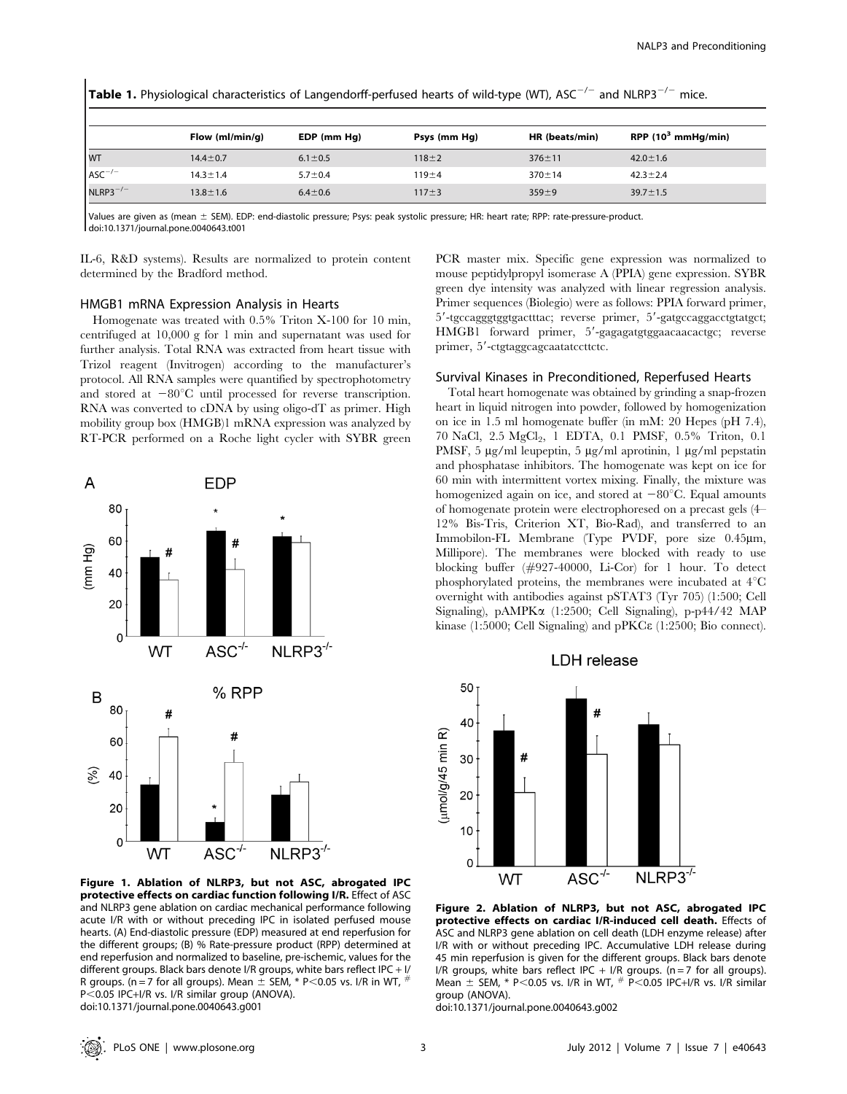|               | <b>Table 1:</b> Thysiological characteristics of Earlychaolic perfused ficarts of what type (WT), NSC<br><b>UIKITU IN</b><br> |               |              |                |                               |  |
|---------------|-------------------------------------------------------------------------------------------------------------------------------|---------------|--------------|----------------|-------------------------------|--|
|               | Flow $(ml/min/q)$                                                                                                             | EDP (mm Hq)   | Psys (mm Hq) | HR (beats/min) | RPP $(10^3 \text{ mmHg/min})$ |  |
| <b>WT</b>     | $14.4 \pm 0.7$                                                                                                                | $6.1 \pm 0.5$ | $118 + 2$    | $376 \pm 11$   | $42.0 \pm 1.6$                |  |
| $ASC-/-$      | $14.3 \pm 1.4$                                                                                                                | $5.7 \pm 0.4$ | $119 + 4$    | $370 \pm 14$   | $42.3 \pm 2.4$                |  |
| $NLRP3^{-/-}$ | $13.8 \pm 1.6$                                                                                                                | $6.4 \pm 0.6$ | $117 + 3$    | $359 + 9$      | $39.7 \pm 1.5$                |  |

**Table 1.** Physiological characteristics of Langendorff-perfused hearts of wild-type (WT), ASC<sup>-/-</sup> and NLRP3<sup>-/-</sup> mice.

Values are given as (mean ± SEM). EDP: end-diastolic pressure; Psys: peak systolic pressure; HR: heart rate; RPP: rate-pressure-product. doi:10.1371/journal.pone.0040643.t001

IL-6, R&D systems). Results are normalized to protein content determined by the Bradford method.

#### HMGB1 mRNA Expression Analysis in Hearts

Homogenate was treated with 0.5% Triton X-100 for 10 min, centrifuged at 10,000 g for 1 min and supernatant was used for further analysis. Total RNA was extracted from heart tissue with Trizol reagent (Invitrogen) according to the manufacturer's protocol. All RNA samples were quantified by spectrophotometry and stored at  $-80^{\circ}$ C until processed for reverse transcription. RNA was converted to cDNA by using oligo-dT as primer. High mobility group box (HMGB)1 mRNA expression was analyzed by RT-PCR performed on a Roche light cycler with SYBR green



Figure 1. Ablation of NLRP3, but not ASC, abrogated IPC protective effects on cardiac function following I/R. Effect of ASC and NLRP3 gene ablation on cardiac mechanical performance following acute I/R with or without preceding IPC in isolated perfused mouse hearts. (A) End-diastolic pressure (EDP) measured at end reperfusion for the different groups; (B) % Rate-pressure product (RPP) determined at end reperfusion and normalized to baseline, pre-ischemic, values for the different groups. Black bars denote I/R groups, white bars reflect IPC + I/ R groups. (n = 7 for all groups). Mean  $\pm$  SEM, \* P < 0.05 vs. I/R in WT,  $#$ P<0.05 IPC+I/R vs. I/R similar group (ANOVA). doi:10.1371/journal.pone.0040643.g001

PCR master mix. Specific gene expression was normalized to mouse peptidylpropyl isomerase A (PPIA) gene expression. SYBR green dye intensity was analyzed with linear regression analysis. Primer sequences (Biolegio) were as follows: PPIA forward primer, 5'-tgccagggtggtgactttac; reverse primer, 5'-gatgccaggacctgtatgct; HMGB1 forward primer, 5'-gagagatgtggaacaacactgc; reverse primer, 5'-ctgtaggcagcaatatccttctc.

#### Survival Kinases in Preconditioned, Reperfused Hearts

Total heart homogenate was obtained by grinding a snap-frozen heart in liquid nitrogen into powder, followed by homogenization on ice in 1.5 ml homogenate buffer (in mM: 20 Hepes (pH 7.4), 70 NaCl, 2.5 MgCl<sub>2</sub>, 1 EDTA, 0.1 PMSF, 0.5% Triton, 0.1 PMSF, 5  $\mu$ g/ml leupeptin, 5  $\mu$ g/ml aprotinin, 1  $\mu$ g/ml pepstatin and phosphatase inhibitors. The homogenate was kept on ice for 60 min with intermittent vortex mixing. Finally, the mixture was homogenized again on ice, and stored at  $-80^{\circ}$ C. Equal amounts of homogenate protein were electrophoresed on a precast gels (4– 12% Bis-Tris, Criterion XT, Bio-Rad), and transferred to an Immobilon-FL Membrane (Type PVDF, pore size 0.45µm, Millipore). The membranes were blocked with ready to use blocking buffer (#927-40000, Li-Cor) for 1 hour. To detect phosphorylated proteins, the membranes were incubated at  $4^{\circ}C$ overnight with antibodies against pSTAT3 (Tyr 705) (1:500; Cell Signaling), pAMPKa (1:2500; Cell Signaling), p-p44/42 MAP kinase (1:5000; Cell Signaling) and pPKCe (1:2500; Bio connect).

LDH release



Figure 2. Ablation of NLRP3, but not ASC, abrogated IPC protective effects on cardiac I/R-induced cell death. Effects of ASC and NLRP3 gene ablation on cell death (LDH enzyme release) after I/R with or without preceding IPC. Accumulative LDH release during 45 min reperfusion is given for the different groups. Black bars denote I/R groups, white bars reflect IPC + I/R groups. (n = 7 for all groups). Mean  $\pm$  SEM, \* P<0.05 vs. I/R in WT,  $#$  P<0.05 IPC+I/R vs. I/R similar group (ANOVA).

doi:10.1371/journal.pone.0040643.g002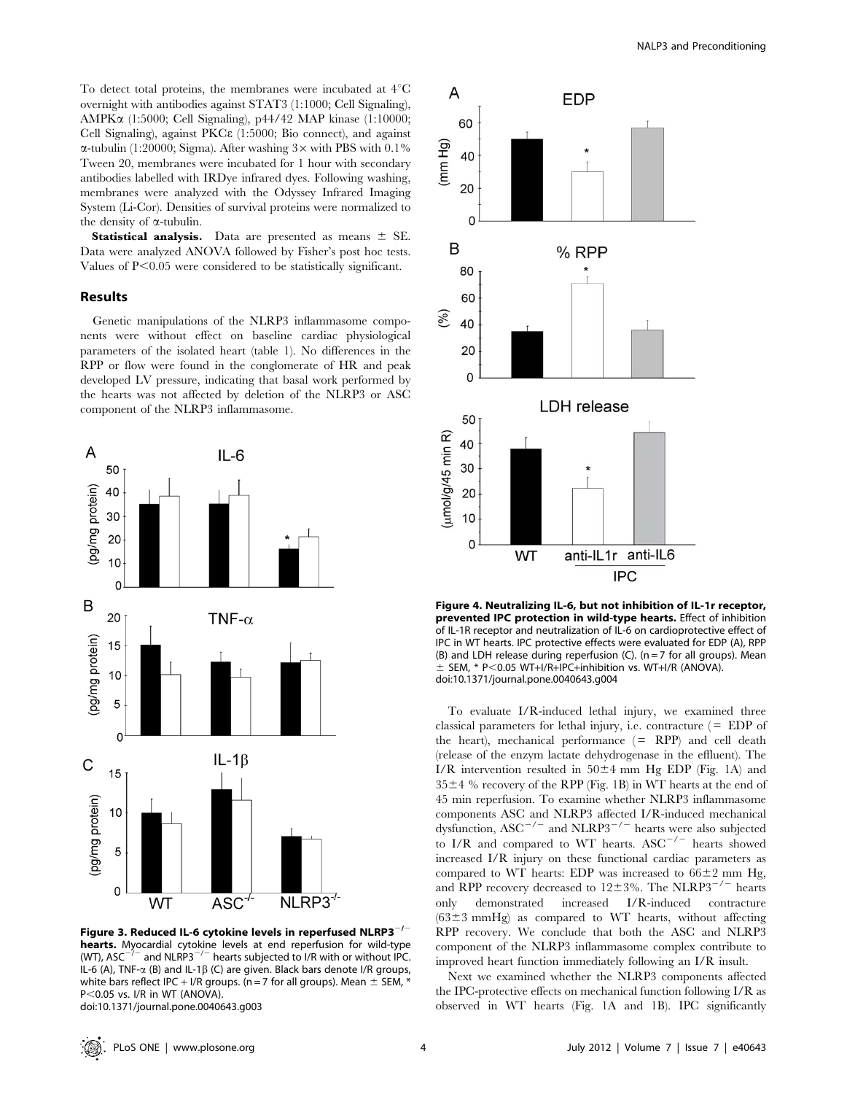To detect total proteins, the membranes were incubated at  $4^{\circ}$ C overnight with antibodies against STAT3 (1:1000; Cell Signaling), AMPKa (1:5000; Cell Signaling), p44/42 MAP kinase (1:10000; Cell Signaling), against PKCe (1:5000; Bio connect), and against  $\alpha$ -tubulin (1:20000; Sigma). After washing 3× with PBS with 0.1% Tween 20, membranes were incubated for 1 hour with secondary antibodies labelled with IRDye infrared dyes. Following washing, membranes were analyzed with the Odyssey Infrared Imaging System (Li-Cor). Densities of survival proteins were normalized to the density of  $\alpha$ -tubulin.

**Statistical analysis.** Data are presented as means  $\pm$  SE. Data were analyzed ANOVA followed by Fisher's post hoc tests. Values of  $P<0.05$  were considered to be statistically significant.

#### Results

Genetic manipulations of the NLRP3 inflammasome components were without effect on baseline cardiac physiological parameters of the isolated heart (table 1). No differences in the RPP or flow were found in the conglomerate of HR and peak developed LV pressure, indicating that basal work performed by the hearts was not affected by deletion of the NLRP3 or ASC component of the NLRP3 inflammasome.



Figure 3. Reduced IL-6 cytokine levels in reperfused NLRP3 $^{-/2}$ **hearts.** Myocardial cytokine levels at end reperfusion for wild-type (WT), ASC<sup> $-/-$ </sup> and NLRP3<sup> $-/-$ </sup> hearts subjected to I/R with or without IPC.  $^{-}$  and NLRP3<sup>-/-</sup> hearts subjected to I/R with or without IPC. IL-6 (A), TNF- $\alpha$  (B) and IL-1 $\beta$  (C) are given. Black bars denote I/R groups, white bars reflect IPC + I/R groups. (n = 7 for all groups). Mean  $\pm$  SEM,  $^{\circ}$  $P<0.05$  vs. I/R in WT (ANOVA). doi:10.1371/journal.pone.0040643.g003



Figure 4. Neutralizing IL-6, but not inhibition of IL-1r receptor, prevented IPC protection in wild-type hearts. Effect of inhibition of IL-1R receptor and neutralization of IL-6 on cardioprotective effect of IPC in WT hearts. IPC protective effects were evaluated for EDP (A), RPP (B) and LDH release during reperfusion (C). ( $n = 7$  for all groups). Mean  $\pm$  SEM, \* P<0.05 WT+I/R+IPC+inhibition vs. WT+I/R (ANOVA). doi:10.1371/journal.pone.0040643.g004

To evaluate I/R-induced lethal injury, we examined three classical parameters for lethal injury, i.e. contracture  $( = EDP \text{ of } )$ the heart), mechanical performance  $( = RPP)$  and cell death (release of the enzym lactate dehydrogenase in the effluent). The I/R intervention resulted in  $50 \pm 4$  mm Hg EDP (Fig. 1A) and  $35\pm4$  % recovery of the RPP (Fig. 1B) in WT hearts at the end of 45 min reperfusion. To examine whether NLRP3 inflammasome components ASC and NLRP3 affected I/R-induced mechanical dysfunction, ASC<sup> $-/-$ </sup> and NLRP3<sup> $-/-$ </sup> hearts were also subjected to I/R and compared to WT hearts.  $\text{ASC}^{-/-}$  hearts showed increased I/R injury on these functional cardiac parameters as compared to WT hearts: EDP was increased to  $66\pm2$  mm Hg, and RPP recovery decreased to  $12\pm3\%$ . The NLRP3<sup>-/-</sup> hearts only demonstrated increased I/R-induced contracture  $(63±3 \text{ mmHg})$  as compared to WT hearts, without affecting RPP recovery. We conclude that both the ASC and NLRP3 component of the NLRP3 inflammasome complex contribute to improved heart function immediately following an I/R insult.

Next we examined whether the NLRP3 components affected the IPC-protective effects on mechanical function following I/R as observed in WT hearts (Fig. 1A and 1B). IPC significantly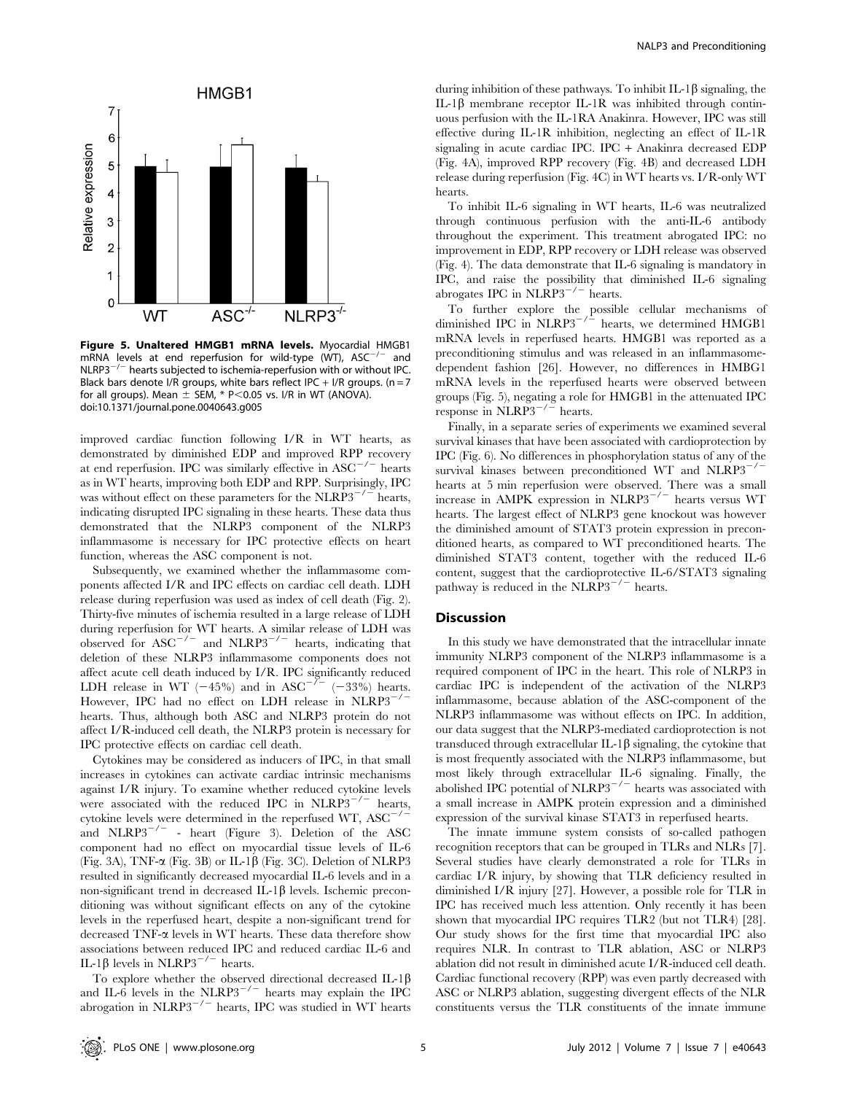

Figure 5. Unaltered HMGB1 mRNA levels. Myocardial HMGB1 mRNA levels at end reperfusion for wild-type (WT),  $ASC^{-/-}$  and  $NLRP3^{-/-}$  hearts subjected to ischemia-reperfusion with or without IPC. Black bars denote I/R groups, white bars reflect IPC + I/R groups. (n = 7 for all groups). Mean  $\pm$  SEM,  $*$  P $<$ 0.05 vs. I/R in WT (ANOVA). doi:10.1371/journal.pone.0040643.g005

improved cardiac function following I/R in WT hearts, as demonstrated by diminished EDP and improved RPP recovery at end reperfusion. IPC was similarly effective in  $\text{ASC}^{-/-}$  hearts as in WT hearts, improving both EDP and RPP. Surprisingly, IPC was without effect on these parameters for the  $NLRP3^{-/-}$  hearts, indicating disrupted IPC signaling in these hearts. These data thus demonstrated that the NLRP3 component of the NLRP3 inflammasome is necessary for IPC protective effects on heart function, whereas the ASC component is not.

Subsequently, we examined whether the inflammasome components affected I/R and IPC effects on cardiac cell death. LDH release during reperfusion was used as index of cell death (Fig. 2). Thirty-five minutes of ischemia resulted in a large release of LDH during reperfusion for WT hearts. A similar release of LDH was observed for  $\text{ASC}^{-/-}$  and  $\text{NLR}P3^{-/-}$  hearts, indicating that deletion of these NLRP3 inflammasome components does not affect acute cell death induced by I/R. IPC significantly reduced LDH release in WT (-45%) and in ASC<sup>-7-</sup> (-33%) hearts. However, IPC had no effect on LDH release in  $NLRP3^{-/2}$ hearts. Thus, although both ASC and NLRP3 protein do not affect I/R-induced cell death, the NLRP3 protein is necessary for IPC protective effects on cardiac cell death.

Cytokines may be considered as inducers of IPC, in that small increases in cytokines can activate cardiac intrinsic mechanisms against I/R injury. To examine whether reduced cytokine levels were associated with the reduced IPC in  $NLRP3^{-/-}$  hearts, cytokine levels were determined in the reperfused WT,  $\text{ASC}^{-1}$ and  $NLRP3^{-/-}$  - heart (Figure 3). Deletion of the ASC component had no effect on myocardial tissue levels of IL-6 (Fig. 3A), TNF- $\alpha$  (Fig. 3B) or IL-1 $\beta$  (Fig. 3C). Deletion of NLRP3 resulted in significantly decreased myocardial IL-6 levels and in a non-significant trend in decreased IL-1 $\beta$  levels. Ischemic preconditioning was without significant effects on any of the cytokine levels in the reperfused heart, despite a non-significant trend for decreased TNF-a levels in WT hearts. These data therefore show associations between reduced IPC and reduced cardiac IL-6 and IL-1β levels in NLRP3<sup>-/-</sup> hearts.

To explore whether the observed directional decreased IL-1 $\beta$ and IL-6 levels in the NLRP3<sup> $-/-$ </sup> hearts may explain the IPC abrogation in NLRP3<sup> $-/-$ </sup> hearts, IPC was studied in WT hearts

during inhibition of these pathways. To inhibit IL-1 $\beta$  signaling, the IL-1 $\beta$  membrane receptor IL-1R was inhibited through continuous perfusion with the IL-1RA Anakinra. However, IPC was still effective during IL-1R inhibition, neglecting an effect of IL-1R signaling in acute cardiac IPC. IPC + Anakinra decreased EDP (Fig. 4A), improved RPP recovery (Fig. 4B) and decreased LDH release during reperfusion (Fig. 4C) in WT hearts vs. I/R-only WT hearts.

To inhibit IL-6 signaling in WT hearts, IL-6 was neutralized through continuous perfusion with the anti-IL-6 antibody throughout the experiment. This treatment abrogated IPC: no improvement in EDP, RPP recovery or LDH release was observed (Fig. 4). The data demonstrate that IL-6 signaling is mandatory in IPC, and raise the possibility that diminished IL-6 signaling abrogates IPC in NLRP3<sup> $-/-$ </sup> hearts.

To further explore the possible cellular mechanisms of diminished IPC in NLRP3<sup> $-/-$ </sup> hearts, we determined HMGB1 mRNA levels in reperfused hearts. HMGB1 was reported as a preconditioning stimulus and was released in an inflammasomedependent fashion [26]. However, no differences in HMBG1 mRNA levels in the reperfused hearts were observed between groups (Fig. 5), negating a role for HMGB1 in the attenuated IPC response in  $NLRP3^{-/-}$  hearts.

Finally, in a separate series of experiments we examined several survival kinases that have been associated with cardioprotection by IPC (Fig. 6). No differences in phosphorylation status of any of the survival kinases between preconditioned WT and NLRP3<sup>-/-</sup> hearts at 5 min reperfusion were observed. There was a small increase in AMPK expression in NLRP3<sup> $-/-$ </sup> hearts versus WT hearts. The largest effect of NLRP3 gene knockout was however the diminished amount of STAT3 protein expression in preconditioned hearts, as compared to WT preconditioned hearts. The diminished STAT3 content, together with the reduced IL-6 content, suggest that the cardioprotective IL-6/STAT3 signaling pathway is reduced in the NLRP3<sup> $-/-$ </sup> hearts.

#### **Discussion**

In this study we have demonstrated that the intracellular innate immunity NLRP3 component of the NLRP3 inflammasome is a required component of IPC in the heart. This role of NLRP3 in cardiac IPC is independent of the activation of the NLRP3 inflammasome, because ablation of the ASC-component of the NLRP3 inflammasome was without effects on IPC. In addition, our data suggest that the NLRP3-mediated cardioprotection is not transduced through extracellular IL-1 $\beta$  signaling, the cytokine that is most frequently associated with the NLRP3 inflammasome, but most likely through extracellular IL-6 signaling. Finally, the abolished IPC potential of NLRP3<sup> $-/-$ </sup> hearts was associated with a small increase in AMPK protein expression and a diminished expression of the survival kinase STAT3 in reperfused hearts.

The innate immune system consists of so-called pathogen recognition receptors that can be grouped in TLRs and NLRs [7]. Several studies have clearly demonstrated a role for TLRs in cardiac I/R injury, by showing that TLR deficiency resulted in diminished I/R injury [27]. However, a possible role for TLR in IPC has received much less attention. Only recently it has been shown that myocardial IPC requires TLR2 (but not TLR4) [28]. Our study shows for the first time that myocardial IPC also requires NLR. In contrast to TLR ablation, ASC or NLRP3 ablation did not result in diminished acute I/R-induced cell death. Cardiac functional recovery (RPP) was even partly decreased with ASC or NLRP3 ablation, suggesting divergent effects of the NLR constituents versus the TLR constituents of the innate immune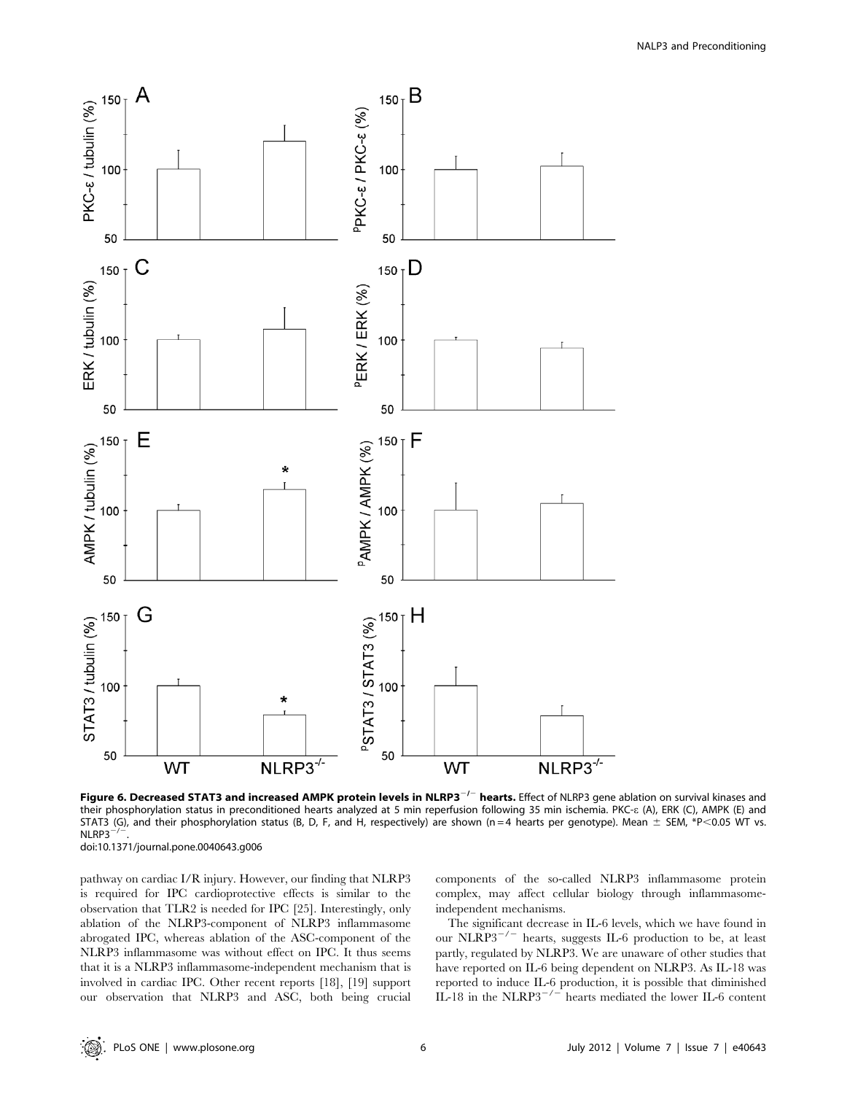

Figure 6. Decreased STAT3 and increased AMPK protein levels in NLRP3<sup>-/-</sup> hearts. Effect of NLRP3 gene ablation on survival kinases and their phosphorylation status in preconditioned hearts analyzed at 5 min reperfusion following 35 min ischemia. PKC-e (A), ERK (C), AMPK (E) and STAT3 (G), and their phosphorylation status (B, D, F, and H, respectively) are shown (n = 4 hearts per genotype). Mean  $\pm$  SEM, \*P<0.05 WT vs.  $NLRP3^{-/-}$ doi:10.1371/journal.pone.0040643.g006

pathway on cardiac I/R injury. However, our finding that NLRP3 is required for IPC cardioprotective effects is similar to the observation that TLR2 is needed for IPC [25]. Interestingly, only ablation of the NLRP3-component of NLRP3 inflammasome abrogated IPC, whereas ablation of the ASC-component of the NLRP3 inflammasome was without effect on IPC. It thus seems that it is a NLRP3 inflammasome-independent mechanism that is involved in cardiac IPC. Other recent reports [18], [19] support our observation that NLRP3 and ASC, both being crucial components of the so-called NLRP3 inflammasome protein complex, may affect cellular biology through inflammasomeindependent mechanisms.

The significant decrease in IL-6 levels, which we have found in our NLRP3<sup> $-/-$ </sup> hearts, suggests IL-6 production to be, at least partly, regulated by NLRP3. We are unaware of other studies that have reported on IL-6 being dependent on NLRP3. As IL-18 was reported to induce IL-6 production, it is possible that diminished IL-18 in the NLRP3<sup> $-/-$ </sup> hearts mediated the lower IL-6 content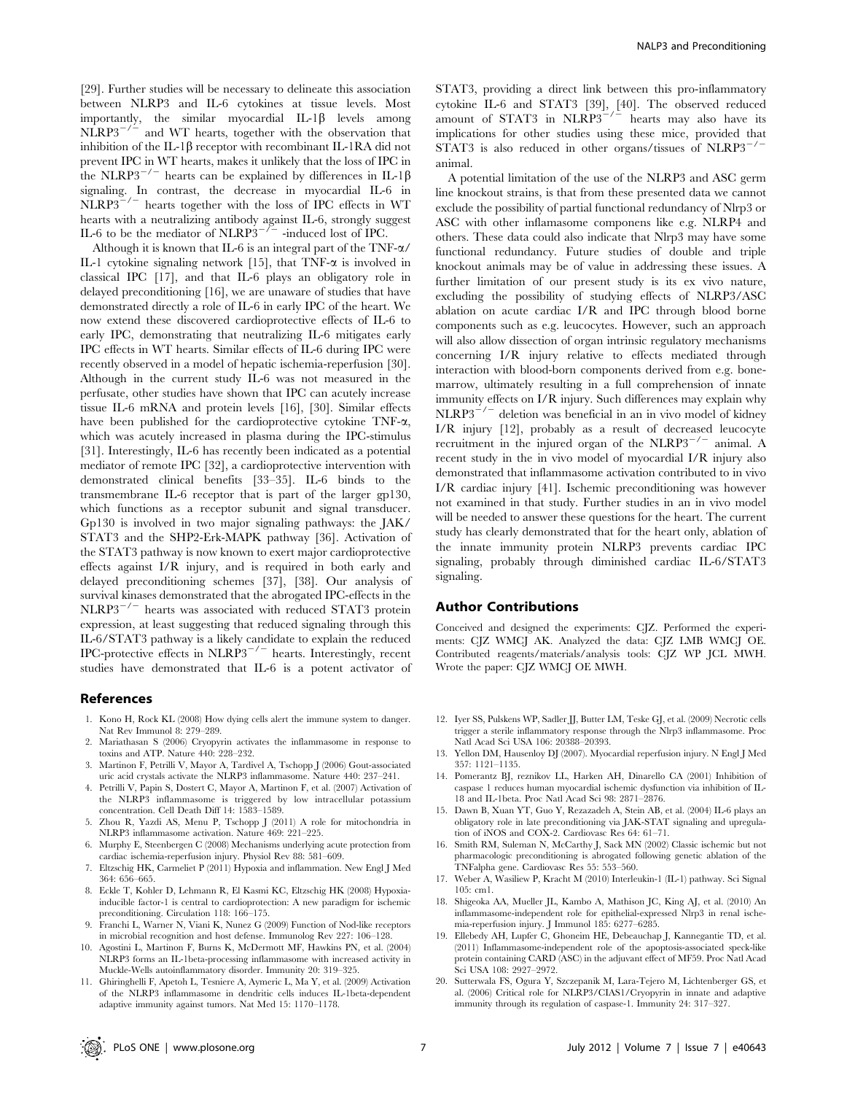[29]. Further studies will be necessary to delineate this association between NLRP3 and IL-6 cytokines at tissue levels. Most importantly, the similar myocardial  $IL-1\beta$  levels among  $NLRP3^{-/-}$  and WT hearts, together with the observation that inhibition of the IL-1 $\beta$  receptor with recombinant IL-1RA did not prevent IPC in WT hearts, makes it unlikely that the loss of IPC in the NLRP3<sup>-/-</sup> hearts can be explained by differences in IL-1 $\beta$ signaling. In contrast, the decrease in myocardial IL-6 in  $NLRP3^{-/-}$  hearts together with the loss of IPC effects in WT hearts with a neutralizing antibody against IL-6, strongly suggest IL-6 to be the mediator of NLRP3<sup> $-$ /<sup>2</sup> -induced lost of IPC.</sup>

Although it is known that IL-6 is an integral part of the TNF- $\alpha$ / IL-1 cytokine signaling network  $[15]$ , that TNF- $\alpha$  is involved in classical IPC [17], and that IL-6 plays an obligatory role in delayed preconditioning [16], we are unaware of studies that have demonstrated directly a role of IL-6 in early IPC of the heart. We now extend these discovered cardioprotective effects of IL-6 to early IPC, demonstrating that neutralizing IL-6 mitigates early IPC effects in WT hearts. Similar effects of IL-6 during IPC were recently observed in a model of hepatic ischemia-reperfusion [30]. Although in the current study IL-6 was not measured in the perfusate, other studies have shown that IPC can acutely increase tissue IL-6 mRNA and protein levels [16], [30]. Similar effects have been published for the cardioprotective cytokine TNF- $\alpha$ , which was acutely increased in plasma during the IPC-stimulus [31]. Interestingly, IL-6 has recently been indicated as a potential mediator of remote IPC [32], a cardioprotective intervention with demonstrated clinical benefits [33–35]. IL-6 binds to the transmembrane IL-6 receptor that is part of the larger gp130, which functions as a receptor subunit and signal transducer. Gp130 is involved in two major signaling pathways: the JAK/ STAT3 and the SHP2-Erk-MAPK pathway [36]. Activation of the STAT3 pathway is now known to exert major cardioprotective effects against I/R injury, and is required in both early and delayed preconditioning schemes [37], [38]. Our analysis of survival kinases demonstrated that the abrogated IPC-effects in the  $NLRP3^{-/-}$  hearts was associated with reduced STAT3 protein expression, at least suggesting that reduced signaling through this IL-6/STAT3 pathway is a likely candidate to explain the reduced IPC-protective effects in  $NLRP3^{-/-}$  hearts. Interestingly, recent studies have demonstrated that IL-6 is a potent activator of

#### References

- 1. Kono H, Rock KL (2008) How dying cells alert the immune system to danger. Nat Rev Immunol 8: 279–289.
- 2. Mariathasan S (2006) Cryopyrin activates the inflammasome in response to toxins and ATP. Nature 440: 228–232.
- 3. Martinon F, Petrilli V, Mayor A, Tardivel A, Tschopp J (2006) Gout-associated uric acid crystals activate the NLRP3 inflammasome. Nature 440: 237–241.
- 4. Petrilli V, Papin S, Dostert C, Mayor A, Martinon F, et al. (2007) Activation of the NLRP3 inflammasome is triggered by low intracellular potassium concentration. Cell Death Diff 14: 1583–1589.
- 5. Zhou R, Yazdi AS, Menu P, Tschopp J (2011) A role for mitochondria in NLRP3 inflammasome activation. Nature 469: 221–225.
- 6. Murphy E, Steenbergen C (2008) Mechanisms underlying acute protection from cardiac ischemia-reperfusion injury. Physiol Rev 88: 581–609.
- 7. Eltzschig HK, Carmeliet P (2011) Hypoxia and inflammation. New Engl J Med 364: 656–665.
- 8. Eckle T, Kohler D, Lehmann R, El Kasmi KC, Eltzschig HK (2008) Hypoxiainducible factor-1 is central to cardioprotection: A new paradigm for ischemic preconditioning. Circulation 118: 166–175.
- 9. Franchi L, Warner N, Viani K, Nunez G (2009) Function of Nod-like receptors in microbial recognition and host defense. Immunolog Rev 227: 106–128.
- 10. Agostini L, Martinon F, Burns K, McDermott MF, Hawkins PN, et al. (2004) NLRP3 forms an IL-1beta-processing inflammasome with increased activity in Muckle-Wells autoinflammatory disorder. Immunity 20: 319–325.
- 11. Ghiringhelli F, Apetoh L, Tesniere A, Aymeric L, Ma Y, et al. (2009) Activation of the NLRP3 inflammasome in dendritic cells induces IL-1beta-dependent adaptive immunity against tumors. Nat Med 15: 1170–1178.

STAT3, providing a direct link between this pro-inflammatory cytokine IL-6 and STAT3 [39], [40]. The observed reduced amount of STAT3 in NLRP3<sup> $-/-$ </sup> hearts may also have its implications for other studies using these mice, provided that STAT3 is also reduced in other organs/tissues of  $NLRP3^{-/2}$ animal.

A potential limitation of the use of the NLRP3 and ASC germ line knockout strains, is that from these presented data we cannot exclude the possibility of partial functional redundancy of Nlrp3 or ASC with other inflamasome componens like e.g. NLRP4 and others. These data could also indicate that Nlrp3 may have some functional redundancy. Future studies of double and triple knockout animals may be of value in addressing these issues. A further limitation of our present study is its ex vivo nature, excluding the possibility of studying effects of NLRP3/ASC ablation on acute cardiac I/R and IPC through blood borne components such as e.g. leucocytes. However, such an approach will also allow dissection of organ intrinsic regulatory mechanisms concerning I/R injury relative to effects mediated through interaction with blood-born components derived from e.g. bonemarrow, ultimately resulting in a full comprehension of innate immunity effects on I/R injury. Such differences may explain why  $NLRP3^{-/-}$  deletion was beneficial in an in vivo model of kidney I/R injury [12], probably as a result of decreased leucocyte recruitment in the injured organ of the  $NLRP3^{-/-}$  animal. A recent study in the in vivo model of myocardial I/R injury also demonstrated that inflammasome activation contributed to in vivo I/R cardiac injury [41]. Ischemic preconditioning was however not examined in that study. Further studies in an in vivo model will be needed to answer these questions for the heart. The current study has clearly demonstrated that for the heart only, ablation of the innate immunity protein NLRP3 prevents cardiac IPC signaling, probably through diminished cardiac IL-6/STAT3 signaling.

#### Author Contributions

Conceived and designed the experiments: CJZ. Performed the experiments: CJZ WMCJ AK. Analyzed the data: CJZ LMB WMCJ OE. Contributed reagents/materials/analysis tools: CJZ WP JCL MWH. Wrote the paper: CJZ WMCJ OE MWH.

- 12. Iyer SS, Pulskens WP, Sadler JJ, Butter LM, Teske GJ, et al. (2009) Necrotic cells trigger a sterile inflammatory response through the Nlrp3 inflammasome. Proc Natl Acad Sci USA 106: 20388–20393.
- 13. Yellon DM, Hausenloy DJ (2007). Myocardial reperfusion injury. N Engl J Med 357: 1121–1135.
- 14. Pomerantz BJ, reznikov LL, Harken AH, Dinarello CA (2001) Inhibition of caspase 1 reduces human myocardial ischemic dysfunction via inhibition of IL-18 and IL-1beta. Proc Natl Acad Sci 98: 2871–2876.
- 15. Dawn B, Xuan YT, Guo Y, Rezazadeh A, Stein AB, et al. (2004) IL-6 plays an obligatory role in late preconditioning via JAK-STAT signaling and upregulation of iNOS and COX-2. Cardiovasc Res 64: 61–71.
- 16. Smith RM, Suleman N, McCarthy J, Sack MN (2002) Classic ischemic but not pharmacologic preconditioning is abrogated following genetic ablation of the TNFalpha gene. Cardiovasc Res 55: 553–560.
- 17. Weber A, Wasiliew P, Kracht M (2010) Interleukin-1 (IL-1) pathway. Sci Signal 105: cm1.
- 18. Shigeoka AA, Mueller JL, Kambo A, Mathison JC, King AJ, et al. (2010) An inflammasome-independent role for epithelial-expressed Nlrp3 in renal ischemia-reperfusion injury. J Immunol 185: 6277–6285.
- 19. Ellebedy AH, Lupfer C, Ghoneim HE, Debeauchap J, Kannegantie TD, et al. (2011) Inflammasome-independent role of the apoptosis-associated speck-like protein containing CARD (ASC) in the adjuvant effect of MF59. Proc Natl Acad Sci USA 108: 2927–2972.
- 20. Sutterwala FS, Ogura Y, Szczepanik M, Lara-Tejero M, Lichtenberger GS, et al. (2006) Critical role for NLRP3/CIAS1/Cryopyrin in innate and adaptive immunity through its regulation of caspase-1. Immunity 24: 317–327.